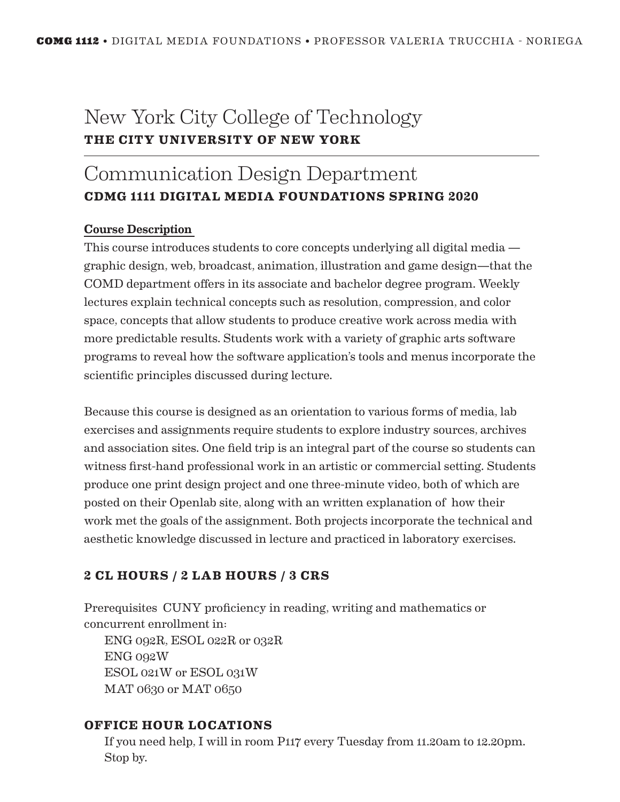## New York City College of Technology **THE CITY UNIVERSITY OF NEW YORK**

# Communication Design Department **CDMG 1111 DIGITAL MEDIA FOUNDATIONS SPRING 2020**

#### Course Description

This course introduces students to core concepts underlying all digital media graphic design, web, broadcast, animation, illustration and game design—that the COMD department offers in its associate and bachelor degree program. Weekly lectures explain technical concepts such as resolution, compression, and color space, concepts that allow students to produce creative work across media with more predictable results. Students work with a variety of graphic arts software programs to reveal how the software application's tools and menus incorporate the scientific principles discussed during lecture.

Because this course is designed as an orientation to various forms of media, lab exercises and assignments require students to explore industry sources, archives and association sites. One field trip is an integral part of the course so students can witness first-hand professional work in an artistic or commercial setting. Students produce one print design project and one three-minute video, both of which are posted on their Openlab site, along with an written explanation of how their work met the goals of the assignment. Both projects incorporate the technical and aesthetic knowledge discussed in lecture and practiced in laboratory exercises.

## **2 CL HOURS / 2 LAB HOURS / 3 CRS**

Prerequisites CUNY proficiency in reading, writing and mathematics or concurrent enrollment in:

ENG 092R, ESOL 022R or 032R ENG 092W ESOL 021W or ESOL 031W MAT 0630 or MAT 0650

#### **OFFICE HOUR LOCATIONS**

If you need help, I will in room P117 every Tuesday from 11.20am to 12.20pm. Stop by.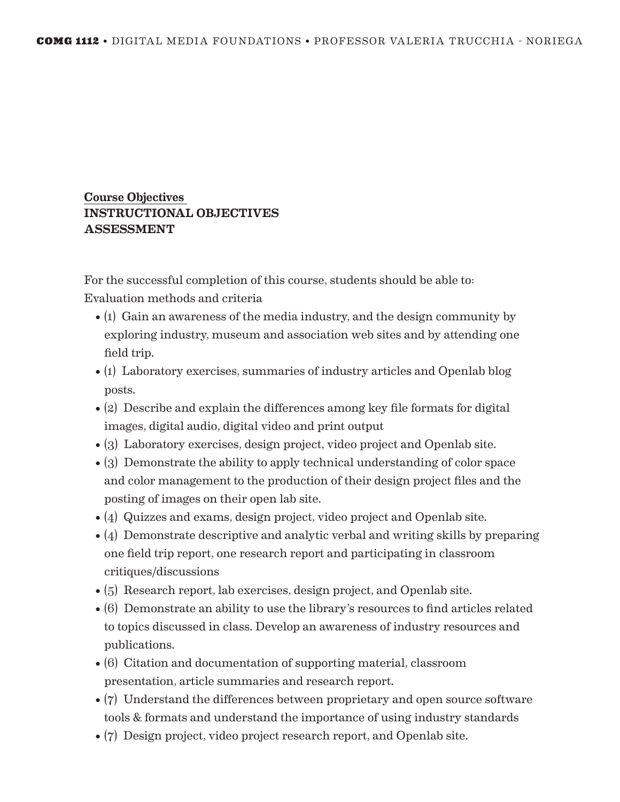#### Course Objectives INSTRUCTIONAL OBJECTIVES ASSESSMENT

For the successful completion of this course, students should be able to: Evaluation methods and criteria

- (1) Gain an awareness of the media industry, and the design community by exploring industry, museum and association web sites and by attending one field trip.
- (1) Laboratory exercises, summaries of industry articles and Openlab blog posts.
- (2) Describe and explain the differences among key file formats for digital images, digital audio, digital video and print output
- (3) Laboratory exercises, design project, video project and Openlab site.
- (3) Demonstrate the ability to apply technical understanding of color space and color management to the production of their design project files and the posting of images on their open lab site.
- (4) Quizzes and exams, design project, video project and Openlab site.
- (4) Demonstrate descriptive and analytic verbal and writing skills by preparing one field trip report, one research report and participating in classroom critiques/discussions
- (5) Research report, lab exercises, design project, and Openlab site.
- (6) Demonstrate an ability to use the library's resources to find articles related to topics discussed in class. Develop an awareness of industry resources and publications.
- (6) Citation and documentation of supporting material, classroom presentation, article summaries and research report.
- (7) Understand the differences between proprietary and open source software tools & formats and understand the importance of using industry standards
- (7) Design project, video project research report, and Openlab site.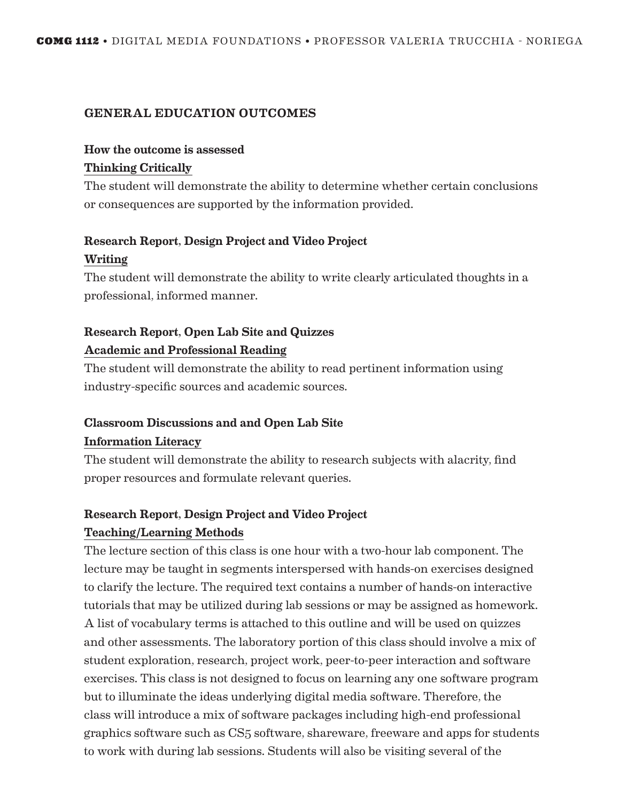#### GENERAL EDUCATION OUTCOMES

# How the outcome is assessed

#### Thinking Critically

The student will demonstrate the ability to determine whether certain conclusions or consequences are supported by the information provided.

## Research Report, Design Project and Video Project Writing

The student will demonstrate the ability to write clearly articulated thoughts in a professional, informed manner.

## Research Report, Open Lab Site and Quizzes Academic and Professional Reading

The student will demonstrate the ability to read pertinent information using industry-specific sources and academic sources.

#### Classroom Discussions and and Open Lab Site

#### Information Literacy

The student will demonstrate the ability to research subjects with alacrity, find proper resources and formulate relevant queries.

#### Research Report, Design Project and Video Project

#### Teaching/Learning Methods

The lecture section of this class is one hour with a two-hour lab component. The lecture may be taught in segments interspersed with hands-on exercises designed to clarify the lecture. The required text contains a number of hands-on interactive tutorials that may be utilized during lab sessions or may be assigned as homework. A list of vocabulary terms is attached to this outline and will be used on quizzes and other assessments. The laboratory portion of this class should involve a mix of student exploration, research, project work, peer-to-peer interaction and software exercises. This class is not designed to focus on learning any one software program but to illuminate the ideas underlying digital media software. Therefore, the class will introduce a mix of software packages including high-end professional graphics software such as CS5 software, shareware, freeware and apps for students to work with during lab sessions. Students will also be visiting several of the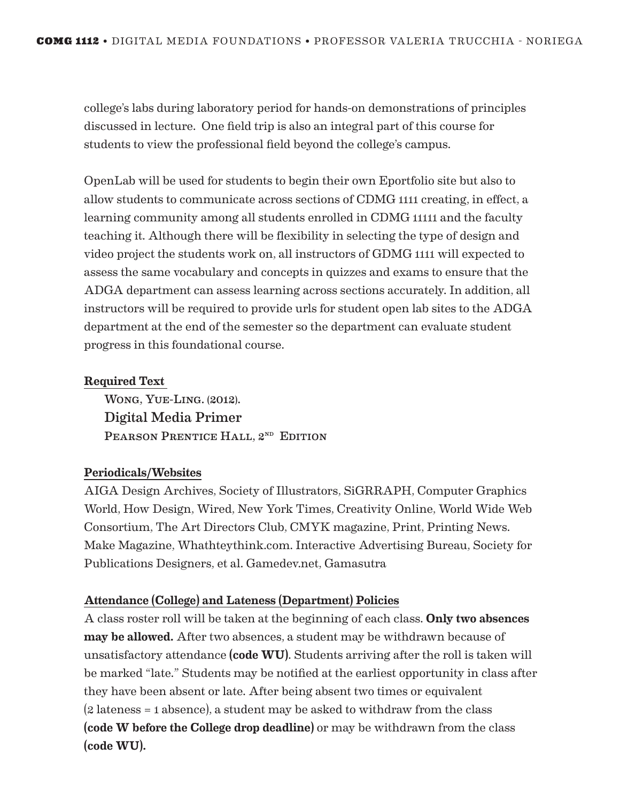college's labs during laboratory period for hands-on demonstrations of principles discussed in lecture. One field trip is also an integral part of this course for students to view the professional field beyond the college's campus.

OpenLab will be used for students to begin their own Eportfolio site but also to allow students to communicate across sections of CDMG 1111 creating, in effect, a learning community among all students enrolled in CDMG 11111 and the faculty teaching it. Although there will be flexibility in selecting the type of design and video project the students work on, all instructors of GDMG 1111 will expected to assess the same vocabulary and concepts in quizzes and exams to ensure that the ADGA department can assess learning across sections accurately. In addition, all instructors will be required to provide urls for student open lab sites to the ADGA department at the end of the semester so the department can evaluate student progress in this foundational course.

#### Required Text

Wong, Yue-Ling. (2012). Digital Media Primer PEARSON PRENTICE HALL, 2<sup>ND</sup> EDITION

#### Periodicals/Websites

AIGA Design Archives, Society of Illustrators, SiGRRAPH, Computer Graphics World, How Design, Wired, New York Times, Creativity Online, World Wide Web Consortium, The Art Directors Club, CMYK magazine, Print, Printing News. Make Magazine, Whathteythink.com. Interactive Advertising Bureau, Society for Publications Designers, et al. Gamedev.net, Gamasutra

#### Attendance (College) and Lateness (Department) Policies

A class roster roll will be taken at the beginning of each class. Only two absences may be allowed. After two absences, a student may be withdrawn because of unsatisfactory attendance (code WU). Students arriving after the roll is taken will be marked "late." Students may be notified at the earliest opportunity in class after they have been absent or late. After being absent two times or equivalent (2 lateness = 1 absence), a student may be asked to withdraw from the class (code W before the College drop deadline) or may be withdrawn from the class (code WU).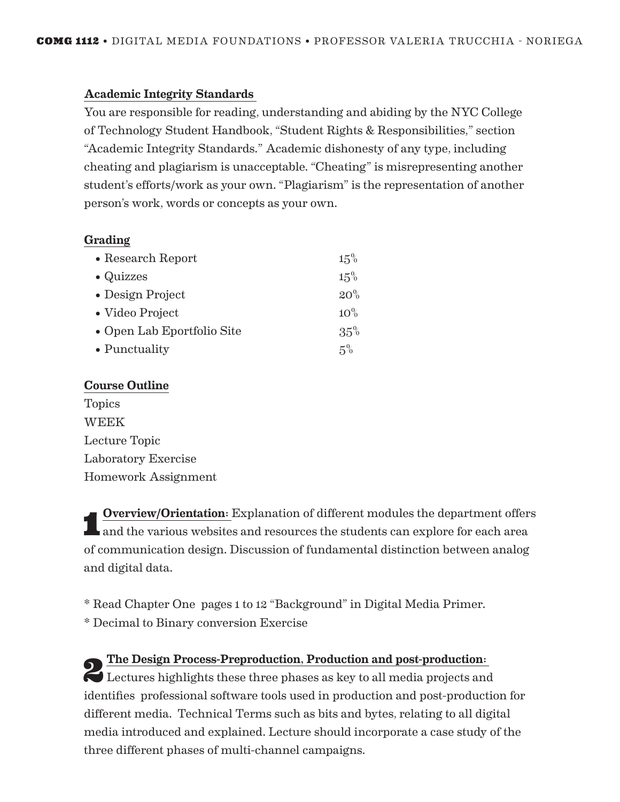#### Academic Integrity Standards

You are responsible for reading, understanding and abiding by the NYC College of Technology Student Handbook, "Student Rights & Responsibilities," section "Academic Integrity Standards." Academic dishonesty of any type, including cheating and plagiarism is unacceptable. "Cheating" is misrepresenting another student's efforts/work as your own. "Plagiarism" is the representation of another person's work, words or concepts as your own.

#### Grading

| • Research Report          | 15%    |
|----------------------------|--------|
| $\bullet$ Quizzes          | 15%    |
| • Design Project           | 20%    |
| • Video Project            | $10\%$ |
| • Open Lab Eportfolio Site | 35%    |
| $\bullet$ Punctuality      | $5\%$  |

#### Course Outline

Topics WEEK Lecture Topic Laboratory Exercise Homework Assignment

1 Overview/Orientation: Explanation of different modules the department offers and the various websites and resources the students can explore for each area of communication design. Discussion of fundamental distinction between analog and digital data.

\* Read Chapter One pages 1 to 12 "Background" in Digital Media Primer. \* Decimal to Binary conversion Exercise

2 The Design Process-Preproduction, Production and post-production: Lectures highlights these three phases as key to all media projects and identifies professional software tools used in production and post-production for different media. Technical Terms such as bits and bytes, relating to all digital media introduced and explained. Lecture should incorporate a case study of the three different phases of multi-channel campaigns.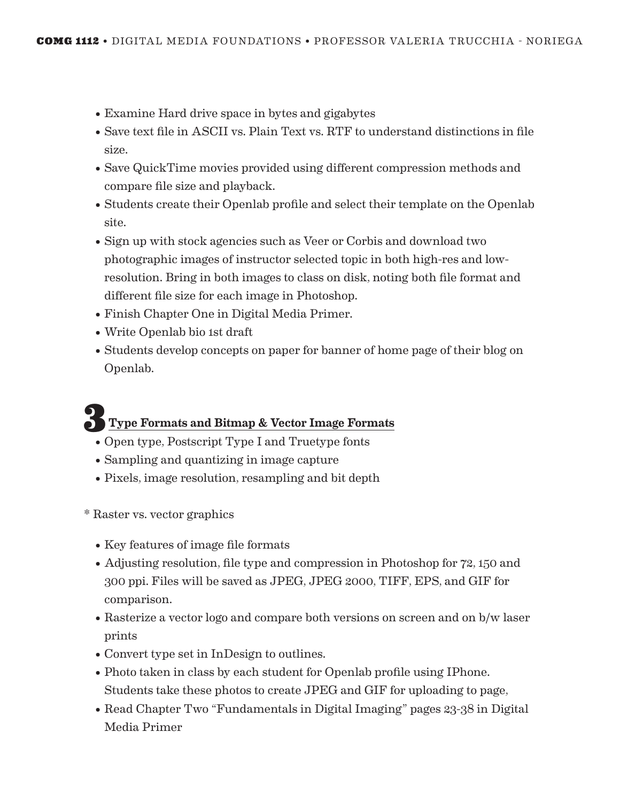- Examine Hard drive space in bytes and gigabytes
- Save text file in ASCII vs. Plain Text vs. RTF to understand distinctions in file size.
- Save QuickTime movies provided using different compression methods and compare file size and playback.
- Students create their Openlab profile and select their template on the Openlab site.
- Sign up with stock agencies such as Veer or Corbis and download two photographic images of instructor selected topic in both high-res and lowresolution. Bring in both images to class on disk, noting both file format and different file size for each image in Photoshop.
- Finish Chapter One in Digital Media Primer.
- Write Openlab bio 1st draft
- Students develop concepts on paper for banner of home page of their blog on Openlab.

# Type Formats and Bitmap & Vector Image Formats

- Open type, Postscript Type I and Truetype fonts
- Sampling and quantizing in image capture
- Pixels, image resolution, resampling and bit depth
- \* Raster vs. vector graphics
	- Key features of image file formats
	- Adjusting resolution, file type and compression in Photoshop for 72, 150 and 300 ppi. Files will be saved as JPEG, JPEG 2000, TIFF, EPS, and GIF for comparison.
	- Rasterize a vector logo and compare both versions on screen and on b/w laser prints
	- Convert type set in InDesign to outlines.
	- Photo taken in class by each student for Openlab profile using IPhone. Students take these photos to create JPEG and GIF for uploading to page,
	- Read Chapter Two "Fundamentals in Digital Imaging" pages 23-38 in Digital Media Primer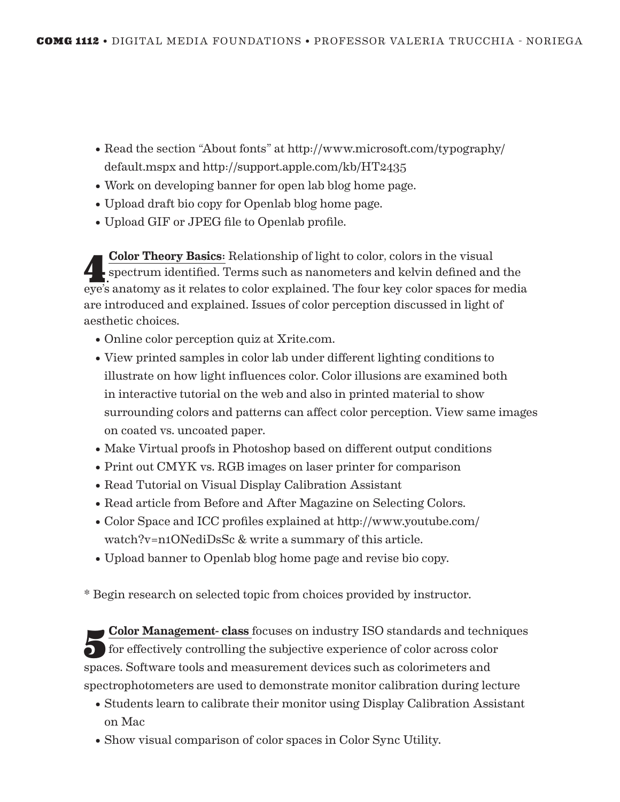- Read the section "About fonts" at http://www.microsoft.com/typography/ default.mspx and http://support.apple.com/kb/HT2435
- Work on developing banner for open lab blog home page.
- Upload draft bio copy for Openlab blog home page.
- Upload GIF or JPEG file to Openlab profile.

Color Theory Basics: Relationship of light to color, colors in the visual<br>spectrum identified. Terms such as nanometers and kelvin defined and the eye's anatomy as it relates to color explained. The four key color spaces for media are introduced and explained. Issues of color perception discussed in light of aesthetic choices.

- Online color perception quiz at Xrite.com.
- View printed samples in color lab under different lighting conditions to illustrate on how light influences color. Color illusions are examined both in interactive tutorial on the web and also in printed material to show surrounding colors and patterns can affect color perception. View same images on coated vs. uncoated paper.
- Make Virtual proofs in Photoshop based on different output conditions
- Print out CMYK vs. RGB images on laser printer for comparison
- Read Tutorial on Visual Display Calibration Assistant
- Read article from Before and After Magazine on Selecting Colors.
- Color Space and ICC profiles explained at http://www.youtube.com/ watch?v=n1ONediDsSc & write a summary of this article.
- Upload banner to Openlab blog home page and revise bio copy.

\* Begin research on selected topic from choices provided by instructor.

5 Color Management- class focuses on industry ISO standards and techniques for effectively controlling the subjective experience of color across color spaces. Software tools and measurement devices such as colorimeters and spectrophotometers are used to demonstrate monitor calibration during lecture

- Students learn to calibrate their monitor using Display Calibration Assistant on Mac
- Show visual comparison of color spaces in Color Sync Utility.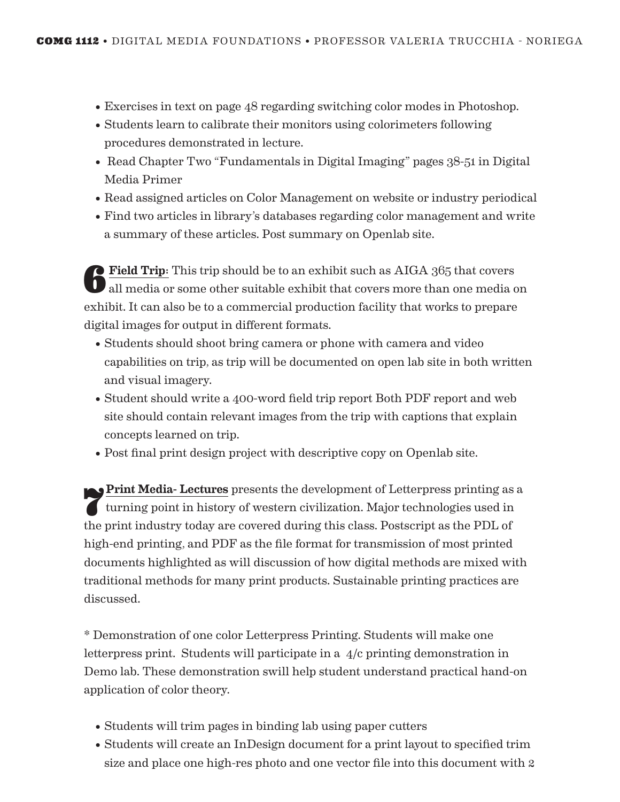- Exercises in text on page 48 regarding switching color modes in Photoshop.
- Students learn to calibrate their monitors using colorimeters following procedures demonstrated in lecture.
- Read Chapter Two "Fundamentals in Digital Imaging" pages 38-51 in Digital Media Primer
- Read assigned articles on Color Management on website or industry periodical
- Find two articles in library's databases regarding color management and write a summary of these articles. Post summary on Openlab site.

6 Field Trip: This trip should be to an exhibit such as AIGA 365 that covers all media or some other suitable exhibit that covers more than one media on exhibit. It can also be to a commercial production facility that works to prepare digital images for output in different formats.

- Students should shoot bring camera or phone with camera and video capabilities on trip, as trip will be documented on open lab site in both written and visual imagery.
- Student should write a 400-word field trip report Both PDF report and web site should contain relevant images from the trip with captions that explain concepts learned on trip.
- Post final print design project with descriptive copy on Openlab site.

**Print Media- Lectures** presents the development of Letterpress printing as a turning point in history of western civilization. Major technologies used in the print industry today are covered during this class. Postscript as the PDL of high-end printing, and PDF as the file format for transmission of most printed documents highlighted as will discussion of how digital methods are mixed with traditional methods for many print products. Sustainable printing practices are discussed.

\* Demonstration of one color Letterpress Printing. Students will make one letterpress print. Students will participate in a 4/c printing demonstration in Demo lab. These demonstration swill help student understand practical hand-on application of color theory.

- Students will trim pages in binding lab using paper cutters
- Students will create an InDesign document for a print layout to specified trim size and place one high-res photo and one vector file into this document with 2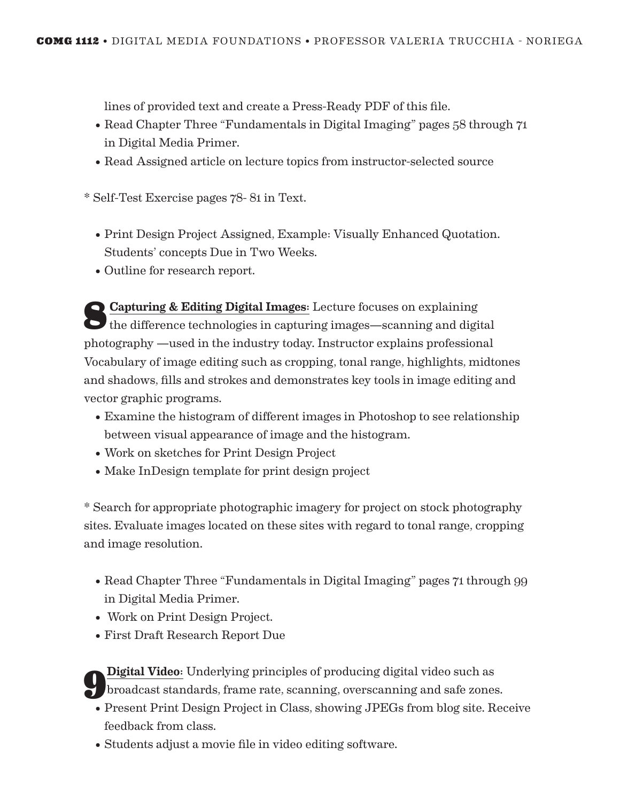lines of provided text and create a Press-Ready PDF of this file.

- Read Chapter Three "Fundamentals in Digital Imaging" pages 58 through 71 in Digital Media Primer.
- Read Assigned article on lecture topics from instructor-selected source

\* Self-Test Exercise pages 78- 81 in Text.

- Print Design Project Assigned, Example: Visually Enhanced Quotation. Students' concepts Due in Two Weeks.
- Outline for research report.

Capturing & Editing Digital Images: Lecture focuses on explaining<br>the difference technologies in capturing images—scanning and digital photography —used in the industry today. Instructor explains professional Vocabulary of image editing such as cropping, tonal range, highlights, midtones and shadows, fills and strokes and demonstrates key tools in image editing and vector graphic programs.

- Examine the histogram of different images in Photoshop to see relationship between visual appearance of image and the histogram.
- Work on sketches for Print Design Project
- Make InDesign template for print design project

\* Search for appropriate photographic imagery for project on stock photography sites. Evaluate images located on these sites with regard to tonal range, cropping and image resolution.

- Read Chapter Three "Fundamentals in Digital Imaging" pages 71 through 99 in Digital Media Primer.
- Work on Print Design Project.
- First Draft Research Report Due

9Digital Video: Underlying principles of producing digital video such as broadcast standards, frame rate, scanning, overscanning and safe zones.

- Present Print Design Project in Class, showing JPEGs from blog site. Receive feedback from class.
- Students adjust a movie file in video editing software.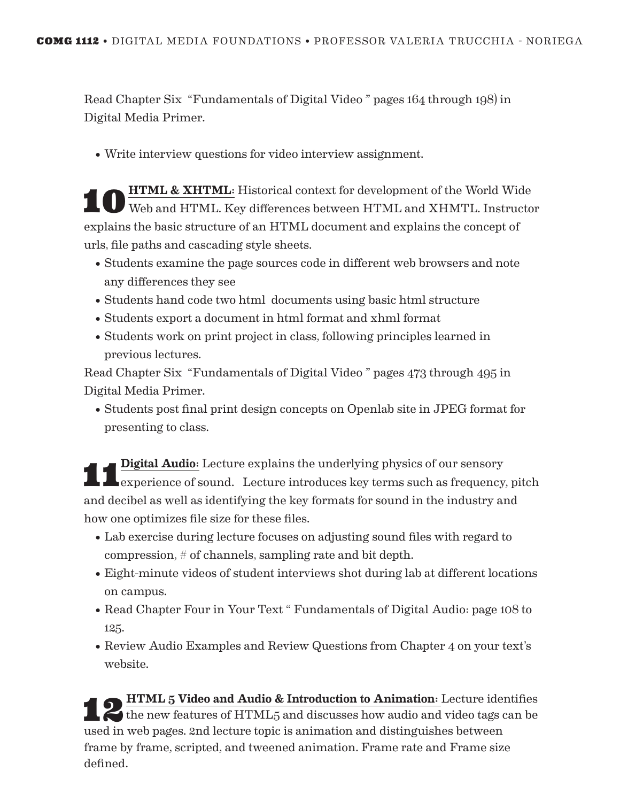Read Chapter Six "Fundamentals of Digital Video " pages 164 through 198) in Digital Media Primer.

• Write interview questions for video interview assignment.

**10 HTML & XHTML:** Historical context for development of the World Wide Web and HTML. Key differences between HTML and XHMTL. Instructor explains the basic structure of an HTML document and explains the concept of urls, file paths and cascading style sheets.

- Students examine the page sources code in different web browsers and note any differences they see
- Students hand code two html documents using basic html structure
- Students export a document in html format and xhml format
- Students work on print project in class, following principles learned in previous lectures.

Read Chapter Six "Fundamentals of Digital Video " pages 473 through 495 in Digital Media Primer.

• Students post final print design concepts on Openlab site in JPEG format for presenting to class.

**Experience of sound.** Lecture introduces key terms such as frequency, pitch and decibel as well as identifying the key formats for sound in the industry and how one optimizes file size for these files.

- Lab exercise during lecture focuses on adjusting sound files with regard to compression, # of channels, sampling rate and bit depth.
- Eight-minute videos of student interviews shot during lab at different locations on campus.
- Read Chapter Four in Your Text " Fundamentals of Digital Audio: page 108 to 125.
- Review Audio Examples and Review Questions from Chapter 4 on your text's website.

**12 HTML 5 Video and Audio & Introduction to Animation**: Lecture identifies the new features of HTML5 and discusses how audio and video tags can be used in web pages. 2nd lecture topic is animation and distinguishes between frame by frame, scripted, and tweened animation. Frame rate and Frame size defined.